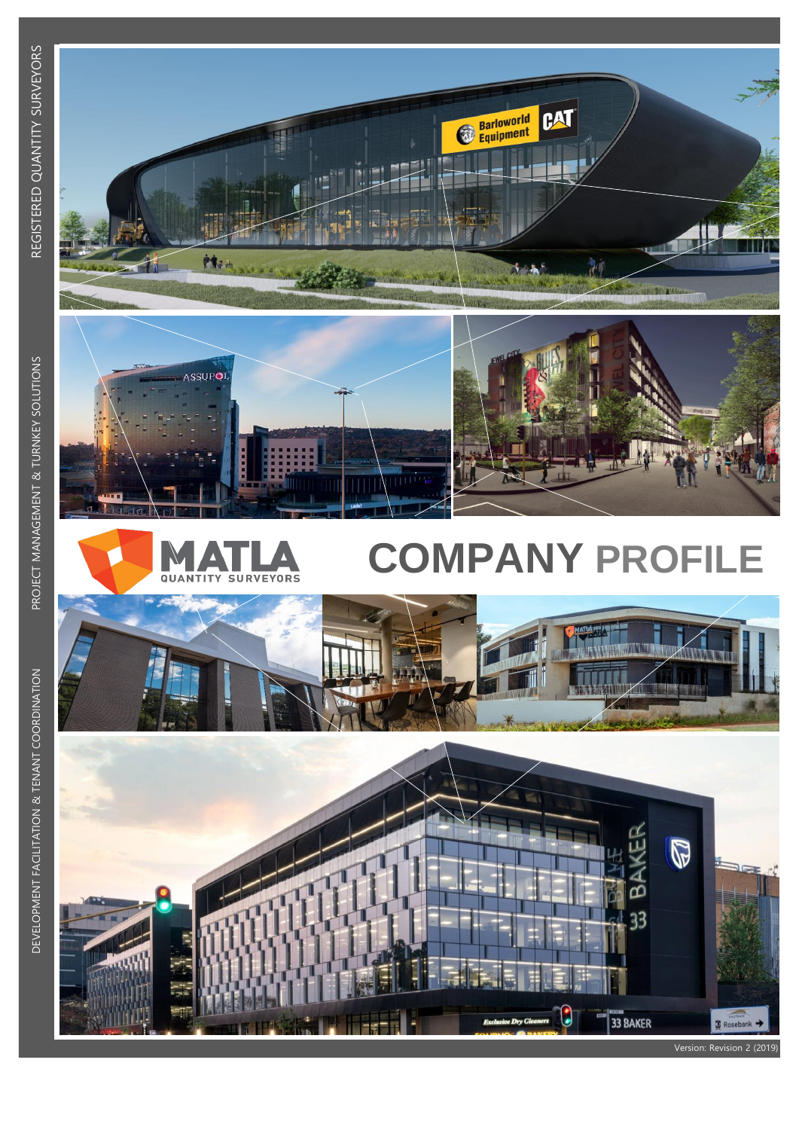



tte.

**ANTISCOPE** 

# **COMPANY PROFILE**

CAT

訶

**Barloworld**<br> **Equipment** 



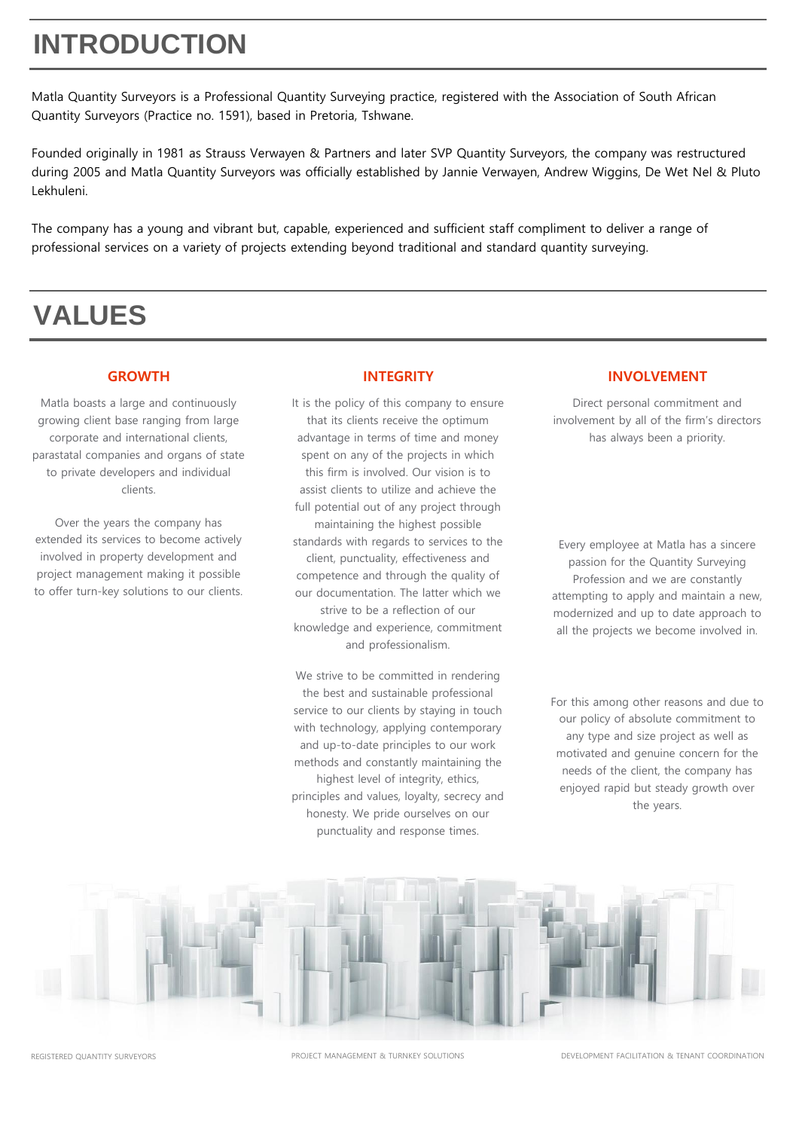# **INTRODUCTION**

Matla Quantity Surveyors is a Professional Quantity Surveying practice, registered with the Association of South African Quantity Surveyors (Practice no. 1591), based in Pretoria, Tshwane.

Founded originally in 1981 as Strauss Verwayen & Partners and later SVP Quantity Surveyors, the company was restructured during 2005 and Matla Quantity Surveyors was officially established by Jannie Verwayen, Andrew Wiggins, De Wet Nel & Pluto Lekhuleni.

The company has a young and vibrant but, capable, experienced and sufficient staff compliment to deliver a range of professional services on a variety of projects extending beyond traditional and standard quantity surveying.

# **VALUES**

Matla boasts a large and continuously growing client base ranging from large corporate and international clients, parastatal companies and organs of state to private developers and individual clients.

Over the years the company has extended its services to become actively involved in property development and project management making it possible to offer turn-key solutions to our clients.

It is the policy of this company to ensure that its clients receive the optimum advantage in terms of time and money spent on any of the projects in which this firm is involved. Our vision is to assist clients to utilize and achieve the full potential out of any project through maintaining the highest possible standards with regards to services to the client, punctuality, effectiveness and competence and through the quality of our documentation. The latter which we strive to be a reflection of our knowledge and experience, commitment and professionalism.

We strive to be committed in rendering the best and sustainable professional service to our clients by staying in touch with technology, applying contemporary and up-to-date principles to our work methods and constantly maintaining the highest level of integrity, ethics, principles and values, loyalty, secrecy and honesty. We pride ourselves on our punctuality and response times.

#### **GROWTH INTEGRITY INVOLVEMENT**

Direct personal commitment and involvement by all of the firm's directors has always been a priority.

Every employee at Matla has a sincere passion for the Quantity Surveying Profession and we are constantly attempting to apply and maintain a new, modernized and up to date approach to all the projects we become involved in.

For this among other reasons and due to our policy of absolute commitment to any type and size project as well as motivated and genuine concern for the needs of the client, the company has enjoyed rapid but steady growth over the years.



PROJECT MANAGEMENT & TURNKEY SOLUTIONS DEVELOPMENT FACILITATION & TENANT COORDINATION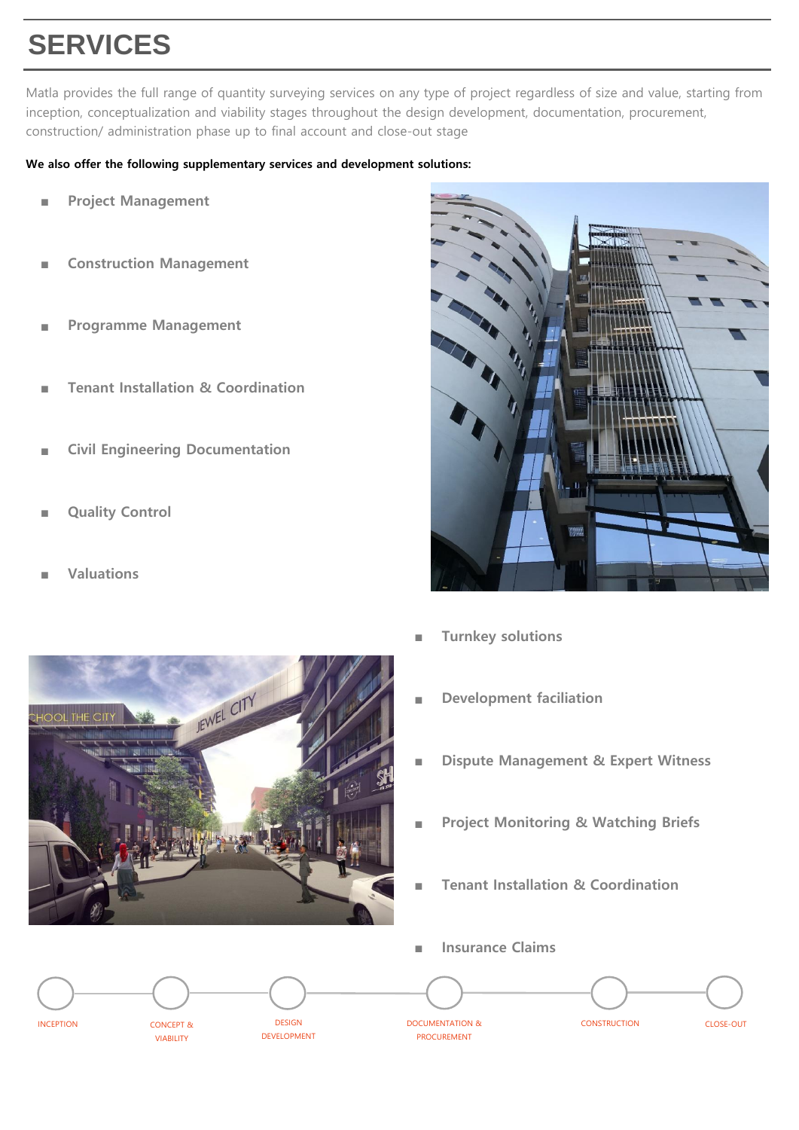# **SERVICES**

Matla provides the full range of quantity surveying services on any type of project regardless of size and value, starting from inception, conceptualization and viability stages throughout the design development, documentation, procurement, construction/ administration phase up to final account and close-out stage

#### **We also offer the following supplementary services and development solutions:**

- **Project Management**
- **Construction Management**
- **Programme Management**
- **Tenant Installation & Coordination**
- **Civil Engineering Documentation**

JEWEL CITY

- **Quality Control**
- **Valuations**



- **Turnkey solutions**
- **Development faciliation**
- **Dispute Management & Expert Witness**
- **Project Monitoring & Watching Briefs**
- **Tenant Installation & Coordination**
- **Insurance Claims** INCEPTION **EXAMPLE CONCEPT & CONSTRUCTION DESIGN** DESIGN DESIGN DOCUMENTATION & CONSTRUCTION PROCUREMENT DESIGN DEVELOPMENT CONCEPT & VIABILITY CLOSE-OUT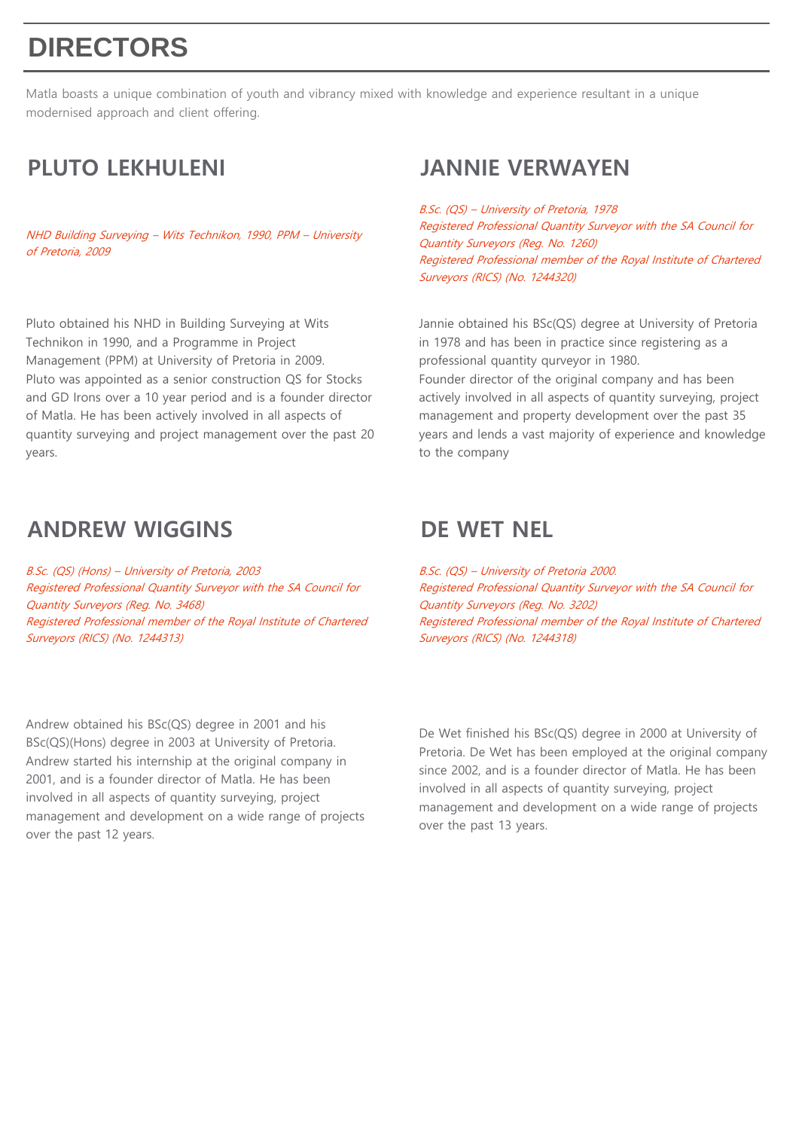# **DIRECTORS**

Matla boasts a unique combination of youth and vibrancy mixed with knowledge and experience resultant in a unique modernised approach and client offering.

NHD Building Surveying – Wits Technikon, 1990, PPM – University of Pretoria, 2009

Pluto obtained his NHD in Building Surveying at Wits Technikon in 1990, and a Programme in Project Management (PPM) at University of Pretoria in 2009. Pluto was appointed as a senior construction QS for Stocks and GD Irons over a 10 year period and is a founder director of Matla. He has been actively involved in all aspects of quantity surveying and project management over the past 20 years.

## **ANDREW WIGGINS DE WET NEL**

B.Sc. (QS) (Hons) – University of Pretoria, 2003 Registered Professional Quantity Surveyor with the SA Council for Quantity Surveyors (Reg. No. 3468) Registered Professional member of the Royal Institute of Chartered Surveyors (RICS) (No. 1244313)

Andrew obtained his BSc(QS) degree in 2001 and his BSc(QS)(Hons) degree in 2003 at University of Pretoria. Andrew started his internship at the original company in 2001, and is a founder director of Matla. He has been involved in all aspects of quantity surveying, project management and development on a wide range of projects over the past 12 years.

## **PLUTO LEKHULENI JANNIE VERWAYEN**

B.Sc. (QS) – University of Pretoria, 1978 Registered Professional Quantity Surveyor with the SA Council for Quantity Surveyors (Reg. No. 1260) Registered Professional member of the Royal Institute of Chartered Surveyors (RICS) (No. 1244320)

Jannie obtained his BSc(QS) degree at University of Pretoria in 1978 and has been in practice since registering as a professional quantity qurveyor in 1980.

Founder director of the original company and has been actively involved in all aspects of quantity surveying, project management and property development over the past 35 years and lends a vast majority of experience and knowledge to the company

B.Sc. (QS) – University of Pretoria 2000. Registered Professional Quantity Surveyor with the SA Council for Quantity Surveyors (Reg. No. 3202) Registered Professional member of the Royal Institute of Chartered Surveyors (RICS) (No. 1244318)

De Wet finished his BSc(QS) degree in 2000 at University of Pretoria. De Wet has been employed at the original company since 2002, and is a founder director of Matla. He has been involved in all aspects of quantity surveying, project management and development on a wide range of projects over the past 13 years.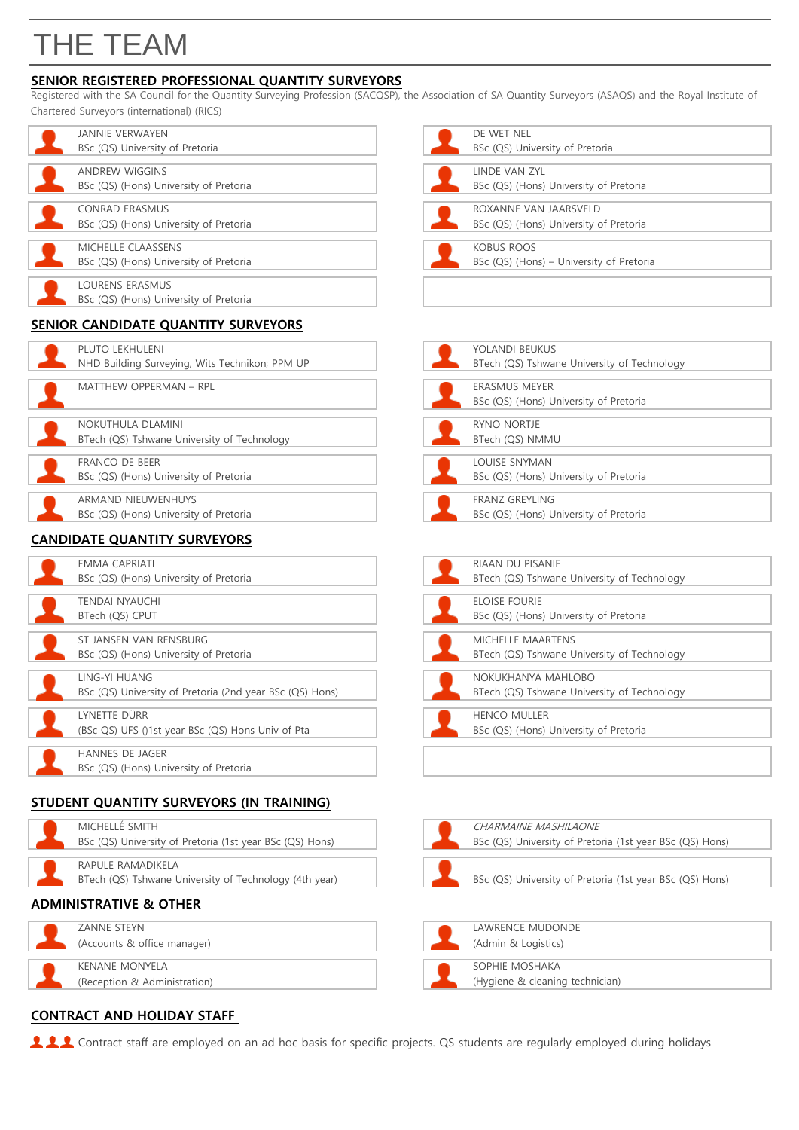# THE TEAM

### **SENIOR REGISTERED PROFESSIONAL QUANTITY SURVEYORS**

Registered with the SA Council for the Quantity Surveying Profession (SACQSP), the Association of SA Quantity Surveyors (ASAQS) and the Royal Institute of Chartered Surveyors (international) (RICS)

| <b>JANNIE VERWAYEN</b>                                          | DE WET NEL                                                      |
|-----------------------------------------------------------------|-----------------------------------------------------------------|
| BSc (QS) University of Pretoria                                 | BSc (QS) University of Pretoria                                 |
| <b>ANDREW WIGGINS</b><br>BSc (QS) (Hons) University of Pretoria | <b>LINDE VAN ZYL</b><br>BSc (QS) (Hons) University of Pretoria  |
| <b>CONRAD ERASMUS</b><br>BSc (QS) (Hons) University of Pretoria | ROXANNE VAN JAARSVELD<br>BSc (QS) (Hons) University of Pretoria |
| MICHELLE CLAASSENS<br>BSc (QS) (Hons) University of Pretoria    | <b>KOBUS ROOS</b><br>BSc (QS) (Hons) - University of Pretoria   |
| LOURENS ERASMUS<br>BSc (QS) (Hons) University of Pretoria       |                                                                 |
| CENIIOD CANIDIDATE OUANITITY CUBVEVODE                          |                                                                 |

#### **SENIOR CANDIDATE QUANTITY SURVEYORS**

| PLUTO LEKHULENI                                |  | YOLANDI BEUKUS                              |
|------------------------------------------------|--|---------------------------------------------|
| NHD Building Surveying, Wits Technikon; PPM UP |  | BTech (QS) Tshwane University of Technology |
|                                                |  |                                             |
| MATTHEW OPPERMAN - RPL                         |  | <b>ERASMUS MEYER</b>                        |
|                                                |  | BSc (QS) (Hons) University of Pretoria      |
|                                                |  |                                             |
| NOKUTHULA DLAMINI                              |  | RYNO NORTJE                                 |
| BTech (QS) Tshwane University of Technology    |  | BTech (QS) NMMU                             |
|                                                |  |                                             |
| FRANCO DE BEER                                 |  | LOUISE SNYMAN                               |
| BSc (QS) (Hons) University of Pretoria         |  | BSc (QS) (Hons) University of Pretoria      |
|                                                |  |                                             |
| ARMAND NIEUWENHUYS                             |  | <b>FRANZ GREYLING</b>                       |
| BSc (QS) (Hons) University of Pretoria         |  | BSc (QS) (Hons) University of Pretoria      |
|                                                |  |                                             |

#### **CANDIDATE QUANTITY SURVEYORS**

| <b>EMMA CAPRIATI</b>                                     | <b>RIAAN DU PISANIE</b>                     |
|----------------------------------------------------------|---------------------------------------------|
| BSc (QS) (Hons) University of Pretoria                   | BTech (QS) Tshwane University of Technology |
|                                                          |                                             |
| <b>TENDAI NYAUCHI</b>                                    | <b>ELOISE FOURIE</b>                        |
| BTech (QS) CPUT                                          | BSc (QS) (Hons) University of Pretoria      |
|                                                          |                                             |
| ST JANSEN VAN RENSBURG                                   | <b>MICHELLE MAARTENS</b>                    |
| BSc (QS) (Hons) University of Pretoria                   | BTech (QS) Tshwane University of Technology |
| LING-YI HUANG                                            | NOKUKHANYA MAHLOBO                          |
| BSc (QS) University of Pretoria (2nd year BSc (QS) Hons) | BTech (QS) Tshwane University of Technology |
| LYNETTE DÜRR                                             | <b>HENCO MULLER</b>                         |
|                                                          |                                             |
| (BSc QS) UFS ()1st year BSc (QS) Hons Univ of Pta        | BSc (QS) (Hons) University of Pretoria      |
| <b>HANNES DE JAGER</b>                                   |                                             |
| BSc (QS) (Hons) University of Pretoria                   |                                             |
|                                                          |                                             |

### **STUDENT QUANTITY SURVEYORS (IN TRAINING)**

| MICHELLÉ SMITH<br>BSc (QS) University of Pretoria (1st  |
|---------------------------------------------------------|
| RAPULE RAMADIKELA<br>BTech (OS) Tshwane University of T |

| BSc (QS) University of Pretoria (1st year BSc (QS) Hons) |
|----------------------------------------------------------|
|                                                          |
| RAPULE RAMADIKELA                                        |
| BTech (QS) Tshwane University of Technology (4th year)   |
| $\mathbf{u}$                                             |

### **ADMINISTRATIVE & OTHER**

| ZANNE STEYN                  |  | LAWRENCE MUDONDE                |
|------------------------------|--|---------------------------------|
| (Accounts & office manager)  |  | (Admin & Logistics)             |
|                              |  |                                 |
| <b>KENANE MONYELA</b>        |  | SOPHIE MOSHAKA                  |
| (Reception & Administration) |  | (Hygiene & cleaning technician) |
|                              |  |                                 |

## **CONTRACT AND HOLIDAY STAFF**

111 Contract staff are employed on an ad hoc basis for specific projects. QS students are regularly employed during holidays

| DF WFT NFI                               |
|------------------------------------------|
| BSc (QS) University of Pretoria          |
| <b>I INDE VAN 7YL</b>                    |
| BSc (QS) (Hons) University of Pretoria   |
| ROXANNE VAN JAARSVELD                    |
| BSc (QS) (Hons) University of Pretoria   |
| KOBUS ROOS                               |
| BSc (QS) (Hons) – University of Pretoria |

| YOLANDI BEUKUS                              |
|---------------------------------------------|
| BTech (QS) Tshwane University of Technology |
|                                             |
| <b>ERASMUS MEYER</b>                        |
| BSc (QS) (Hons) University of Pretoria      |
|                                             |
| RYNO NORTJE                                 |
| BTech (QS) NMMU                             |
|                                             |
| LOUISE SNYMAN                               |
| BSc (QS) (Hons) University of Pretoria      |
|                                             |
| <b>FRANZ GREYLING</b>                       |
| BSc (QS) (Hons) University of Pretoria      |

| RIAAN DU PISANIF                            |
|---------------------------------------------|
| BTech (QS) Tshwane University of Technology |
| ELOISE FOURIE                               |
| BSc (QS) (Hons) University of Pretoria      |
| MICHELLE MAARTENS                           |
| BTech (QS) Tshwane University of Technology |
| NOKUKHANYA MAHI OBO                         |
| BTech (QS) Tshwane University of Technology |
| <b>HENCO MULLER</b>                         |
| BSc (QS) (Hons) University of Pretoria      |
|                                             |

| ICTDATIVE 0. ATLIED                                      |                                                          |
|----------------------------------------------------------|----------------------------------------------------------|
| BTech (QS) Tshwane University of Technology (4th year)   | BSc (QS) University of Pretoria (1st year BSc (QS) Hons) |
| RAPULE RAMADIKELA                                        |                                                          |
|                                                          |                                                          |
| BSc (QS) University of Pretoria (1st year BSc (QS) Hons) | BSc (QS) University of Pretoria (1st year BSc (QS) Hons) |
| MICHELLÉ SMITH                                           | CHARMAINE MASHILAONE                                     |
|                                                          |                                                          |

| LAWRENCE MUDONDE                |
|---------------------------------|
| (Admin & Logistics)             |
|                                 |
| SOPHIE MOSHAKA                  |
| (Hygiene & cleaning technician) |
|                                 |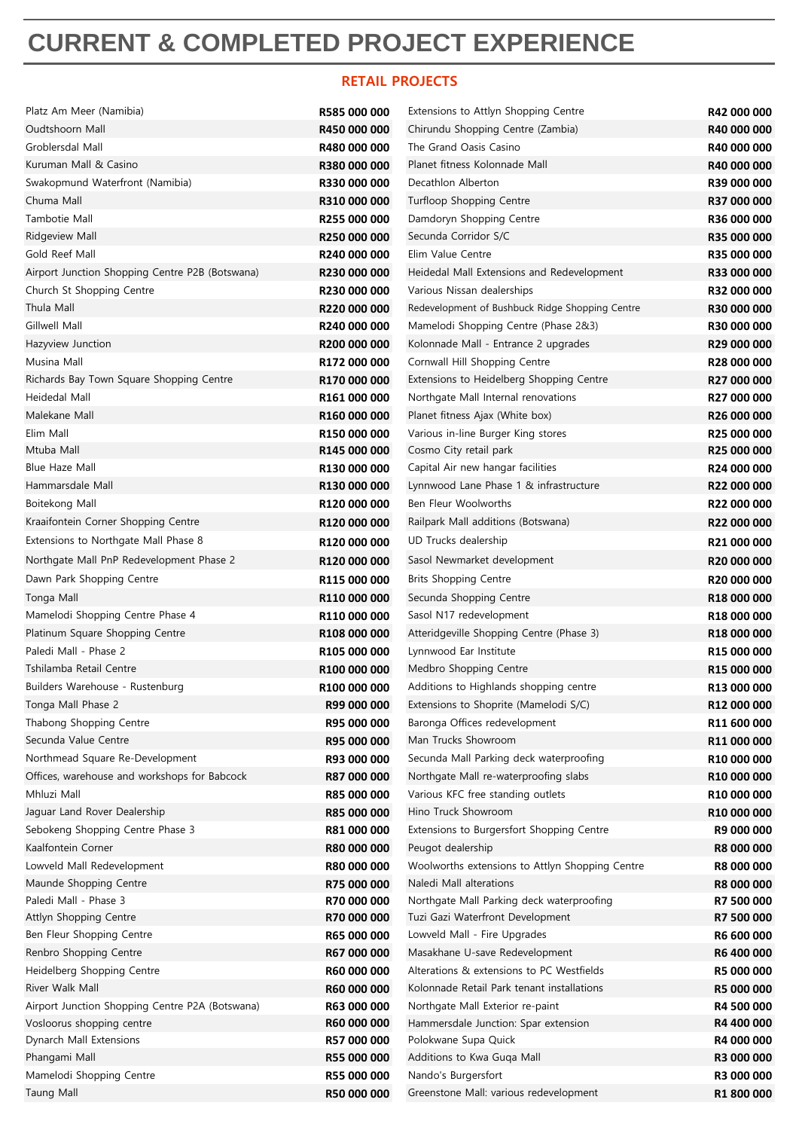## **CURRENT & COMPLETED PROJECT EXPERIENCE**

#### **RETAIL PROJECTS**

| Platz Am Meer (Namibia)                         | R585 000 000 | Extensions to Attlyn Shopping Centre            | R42 000 000             |
|-------------------------------------------------|--------------|-------------------------------------------------|-------------------------|
| Oudtshoorn Mall                                 | R450 000 000 | Chirundu Shopping Centre (Zambia)               | R40 000 000             |
| Groblersdal Mall                                | R480 000 000 | The Grand Oasis Casino                          | R40 000 000             |
| Kuruman Mall & Casino                           | R380 000 000 | Planet fitness Kolonnade Mall                   | R40 000 000             |
| Swakopmund Waterfront (Namibia)                 | R330 000 000 | Decathlon Alberton                              | R39 000 000             |
| Chuma Mall                                      | R310 000 000 | Turfloop Shopping Centre                        | R37 000 000             |
| Tambotie Mall                                   | R255 000 000 | Damdoryn Shopping Centre                        | R36 000 000             |
| Ridgeview Mall                                  | R250 000 000 | Secunda Corridor S/C                            | R35 000 000             |
| Gold Reef Mall                                  | R240 000 000 | Elim Value Centre                               | R35 000 000             |
| Airport Junction Shopping Centre P2B (Botswana) | R230 000 000 | Heidedal Mall Extensions and Redevelopment      | R33 000 000             |
| Church St Shopping Centre                       | R230 000 000 | Various Nissan dealerships                      | R32 000 000             |
| Thula Mall                                      | R220 000 000 | Redevelopment of Bushbuck Ridge Shopping Centre | R30 000 000             |
| Gillwell Mall                                   | R240 000 000 | Mamelodi Shopping Centre (Phase 2&3)            | R30 000 000             |
| Hazyview Junction                               | R200 000 000 | Kolonnade Mall - Entrance 2 upgrades            | R29 000 000             |
| Musina Mall                                     | R172 000 000 | Cornwall Hill Shopping Centre                   | R28 000 000             |
| Richards Bay Town Square Shopping Centre        | R170 000 000 | Extensions to Heidelberg Shopping Centre        | R27 000 000             |
| Heidedal Mall                                   | R161 000 000 | Northgate Mall Internal renovations             | R27 000 000             |
| Malekane Mall                                   | R160 000 000 | Planet fitness Ajax (White box)                 | R26 000 000             |
| Elim Mall                                       | R150 000 000 | Various in-line Burger King stores              | R25 000 000             |
| Mtuba Mall                                      | R145 000 000 | Cosmo City retail park                          | R25 000 000             |
| <b>Blue Haze Mall</b>                           | R130 000 000 | Capital Air new hangar facilities               | R24 000 000             |
| Hammarsdale Mall                                | R130 000 000 | Lynnwood Lane Phase 1 & infrastructure          | R22 000 000             |
| Boitekong Mall                                  | R120 000 000 | Ben Fleur Woolworths                            | R22 000 000             |
| Kraaifontein Corner Shopping Centre             | R120 000 000 | Railpark Mall additions (Botswana)              | R22 000 000             |
| Extensions to Northgate Mall Phase 8            | R120 000 000 | UD Trucks dealership                            | R21 000 000             |
| Northgate Mall PnP Redevelopment Phase 2        | R120 000 000 | Sasol Newmarket development                     | R <sub>20</sub> 000 000 |
| Dawn Park Shopping Centre                       | R115 000 000 | <b>Brits Shopping Centre</b>                    | R <sub>20</sub> 000 000 |
| Tonga Mall                                      | R110 000 000 | Secunda Shopping Centre                         | R18 000 000             |
| Mamelodi Shopping Centre Phase 4                | R110 000 000 | Sasol N17 redevelopment                         | R <sub>18</sub> 000 000 |
| Platinum Square Shopping Centre                 | R108 000 000 | Atteridgeville Shopping Centre (Phase 3)        | R18 000 000             |
| Paledi Mall - Phase 2                           | R105 000 000 | Lynnwood Ear Institute                          | R15 000 000             |
| Tshilamba Retail Centre                         | R100 000 000 | Medbro Shopping Centre                          | R <sub>15</sub> 000 000 |
| Builders Warehouse - Rustenburg                 | R100 000 000 | Additions to Highlands shopping centre          | R13 000 000             |
| Tonga Mall Phase 2                              | R99 000 000  | Extensions to Shoprite (Mamelodi S/C)           | R12 000 000             |
| Thabong Shopping Centre                         | R95 000 000  | Baronga Offices redevelopment                   | R11 600 000             |
| Secunda Value Centre                            | R95 000 000  | Man Trucks Showroom                             | R11 000 000             |
| Northmead Square Re-Development                 | R93 000 000  | Secunda Mall Parking deck waterproofing         | R10 000 000             |
| Offices, warehouse and workshops for Babcock    | R87 000 000  | Northgate Mall re-waterproofing slabs           | R10 000 000             |
| Mhluzi Mall                                     | R85 000 000  | Various KFC free standing outlets               | R10 000 000             |
| Jaguar Land Rover Dealership                    | R85 000 000  | Hino Truck Showroom                             | R10 000 000             |
| Sebokeng Shopping Centre Phase 3                | R81 000 000  | Extensions to Burgersfort Shopping Centre       | R9 000 000              |
| Kaalfontein Corner                              | R80 000 000  | Peugot dealership                               | R8 000 000              |
| Lowveld Mall Redevelopment                      | R80 000 000  | Woolworths extensions to Attlyn Shopping Centre | R8 000 000              |
| Maunde Shopping Centre                          | R75 000 000  | Naledi Mall alterations                         | R8 000 000              |
| Paledi Mall - Phase 3                           | R70 000 000  | Northgate Mall Parking deck waterproofing       | R7 500 000              |
| Attlyn Shopping Centre                          | R70 000 000  | Tuzi Gazi Waterfront Development                | R7 500 000              |
| Ben Fleur Shopping Centre                       | R65 000 000  | Lowveld Mall - Fire Upgrades                    | R6 600 000              |
| Renbro Shopping Centre                          | R67 000 000  | Masakhane U-save Redevelopment                  | R6 400 000              |
| Heidelberg Shopping Centre                      | R60 000 000  | Alterations & extensions to PC Westfields       | R5 000 000              |
| River Walk Mall                                 | R60 000 000  | Kolonnade Retail Park tenant installations      | R5 000 000              |
| Airport Junction Shopping Centre P2A (Botswana) | R63 000 000  | Northgate Mall Exterior re-paint                | R4 500 000              |
| Vosloorus shopping centre                       | R60 000 000  | Hammersdale Junction: Spar extension            | R4 400 000              |
| Dynarch Mall Extensions                         | R57 000 000  | Polokwane Supa Quick                            | R4 000 000              |
| Phangami Mall                                   | R55 000 000  | Additions to Kwa Guqa Mall                      | R3 000 000              |
| Mamelodi Shopping Centre                        | R55 000 000  | Nando's Burgersfort                             | R3 000 000              |
| <b>Taung Mall</b>                               | R50 000 000  | Greenstone Mall: various redevelopment          | R1 800 000              |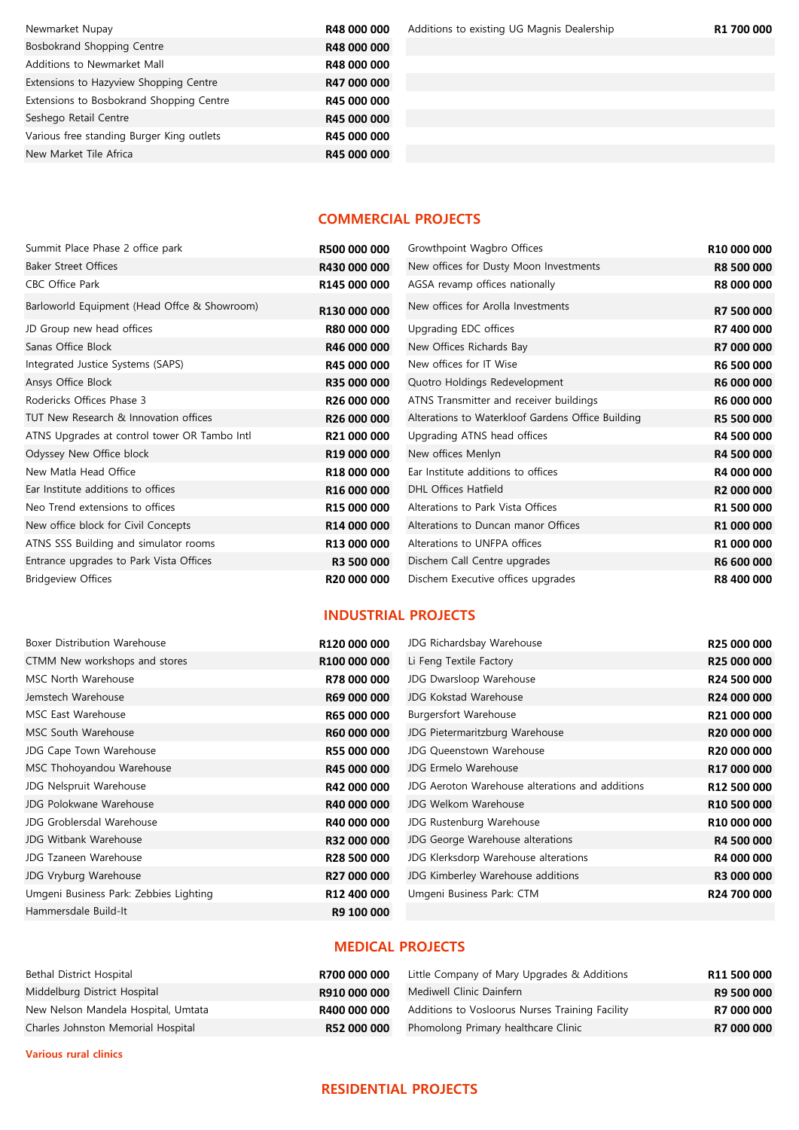Newmarket Nupay **R48 000 000** Additions to existing UG Magnis Dealership **R1 700 000** Bosbokrand Shopping Centre **R48 000 000** Additions to Newmarket Mall **R48 000 000** Extensions to Hazyview Shopping Centre **R47 000 000** Extensions to Bosbokrand Shopping Centre **R45 000 000** Seshego Retail Centre **R45 000 000** Various free standing Burger King outlets **R45 000 000** New Market Tile Africa **R45 000 000** 

#### **COMMERCIAL PROJECTS**

| Summit Place Phase 2 office park             | R500 000 000       | Growthpoint Wagbro Offices                        | R10 000 000 |
|----------------------------------------------|--------------------|---------------------------------------------------|-------------|
| <b>Baker Street Offices</b>                  | R430 000 000       | New offices for Dusty Moon Investments            | R8 500 000  |
| CBC Office Park                              | R145 000 000       | AGSA revamp offices nationally                    | R8 000 000  |
| Barloworld Equipment (Head Offce & Showroom) | R130 000 000       | New offices for Arolla Investments                | R7 500 000  |
| JD Group new head offices                    | <b>R80 000 000</b> | Upgrading EDC offices                             | R7 400 000  |
| Sanas Office Block                           | R46 000 000        | New Offices Richards Bay                          | R7 000 000  |
| Integrated Justice Systems (SAPS)            | R45 000 000        | New offices for IT Wise                           | R6 500 000  |
| Ansys Office Block                           | <b>R35 000 000</b> | Quotro Holdings Redevelopment                     | R6 000 000  |
| Rodericks Offices Phase 3                    | R26 000 000        | ATNS Transmitter and receiver buildings           | R6 000 000  |
| TUT New Research & Innovation offices        | R26 000 000        | Alterations to Waterkloof Gardens Office Building | R5 500 000  |
| ATNS Upgrades at control tower OR Tambo Intl | R21 000 000        | Upgrading ATNS head offices                       | R4 500 000  |
| Odyssey New Office block                     | R19 000 000        | New offices Menlyn                                | R4 500 000  |
| New Matla Head Office                        | R18 000 000        | Ear Institute additions to offices                | R4 000 000  |
| Ear Institute additions to offices           | R16 000 000        | DHL Offices Hatfield                              | R2 000 000  |
| Neo Trend extensions to offices              | R15 000 000        | Alterations to Park Vista Offices                 | R1 500 000  |
| New office block for Civil Concepts          | R14 000 000        | Alterations to Duncan manor Offices               | R1 000 000  |
| ATNS SSS Building and simulator rooms        | R13 000 000        | Alterations to UNFPA offices                      | R1 000 000  |
| Entrance upgrades to Park Vista Offices      | R3 500 000         | Dischem Call Centre upgrades                      | R6 600 000  |
| <b>Bridgeview Offices</b>                    | R20 000 000        | Dischem Executive offices upgrades                | R8 400 000  |

#### **INDUSTRIAL PROJECTS**

| Boxer Distribution Warehouse           | R120 000 000       | JDG Richardsbay Warehouse                       | <b>R25 000 000</b>      |
|----------------------------------------|--------------------|-------------------------------------------------|-------------------------|
| CTMM New workshops and stores          | R100 000 000       | Li Feng Textile Factory                         | R25 000 000             |
| MSC North Warehouse                    | R78 000 000        | JDG Dwarsloop Warehouse                         | R24 500 000             |
| Jemstech Warehouse                     | R69 000 000        | JDG Kokstad Warehouse                           | R24 000 000             |
| MSC East Warehouse                     | R65 000 000        | <b>Burgersfort Warehouse</b>                    | R21 000 000             |
| MSC South Warehouse                    | R60 000 000        | JDG Pietermaritzburg Warehouse                  | R20 000 000             |
| JDG Cape Town Warehouse                | R55 000 000        | JDG Queenstown Warehouse                        | R20 000 000             |
| MSC Thohoyandou Warehouse              | <b>R45 000 000</b> | JDG Ermelo Warehouse                            | R17 000 000             |
| JDG Nelspruit Warehouse                | R42 000 000        | JDG Aeroton Warehouse alterations and additions | R12 500 000             |
| JDG Polokwane Warehouse                | R40 000 000        | JDG Welkom Warehouse                            | R <sub>10</sub> 500 000 |
| JDG Groblersdal Warehouse              | R40 000 000        | JDG Rustenburg Warehouse                        | R <sub>10</sub> 000 000 |
| JDG Witbank Warehouse                  | <b>R32 000 000</b> | JDG George Warehouse alterations                | R4 500 000              |
| JDG Tzaneen Warehouse                  | R28 500 000        | JDG Klerksdorp Warehouse alterations            | R4 000 000              |
| JDG Vryburg Warehouse                  | R27 000 000        | JDG Kimberley Warehouse additions               | R3 000 000              |
| Umgeni Business Park: Zebbies Lighting | R12 400 000        | Umgeni Business Park: CTM                       | R24 700 000             |
| Hammersdale Build-It                   | R9 100 000         |                                                 |                         |
|                                        |                    |                                                 |                         |

#### **MEDICAL PROJECTS**

| Bethal District Hospital            | R700 000 000 | Little Company of Mary Upgrades & Additions     | R11 500 000       |
|-------------------------------------|--------------|-------------------------------------------------|-------------------|
| Middelburg District Hospital        | R910 000 000 | Mediwell Clinic Dainfern                        | <b>R9 500 000</b> |
| New Nelson Mandela Hospital, Umtata | R400 000 000 | Additions to Vosloorus Nurses Training Facility | R7 000 000        |
| Charles Johnston Memorial Hospital  | R52 000 000  | Phomolong Primary healthcare Clinic             | <b>R7 000 000</b> |

**Various rural clinics**

#### **RESIDENTIAL PROJECTS**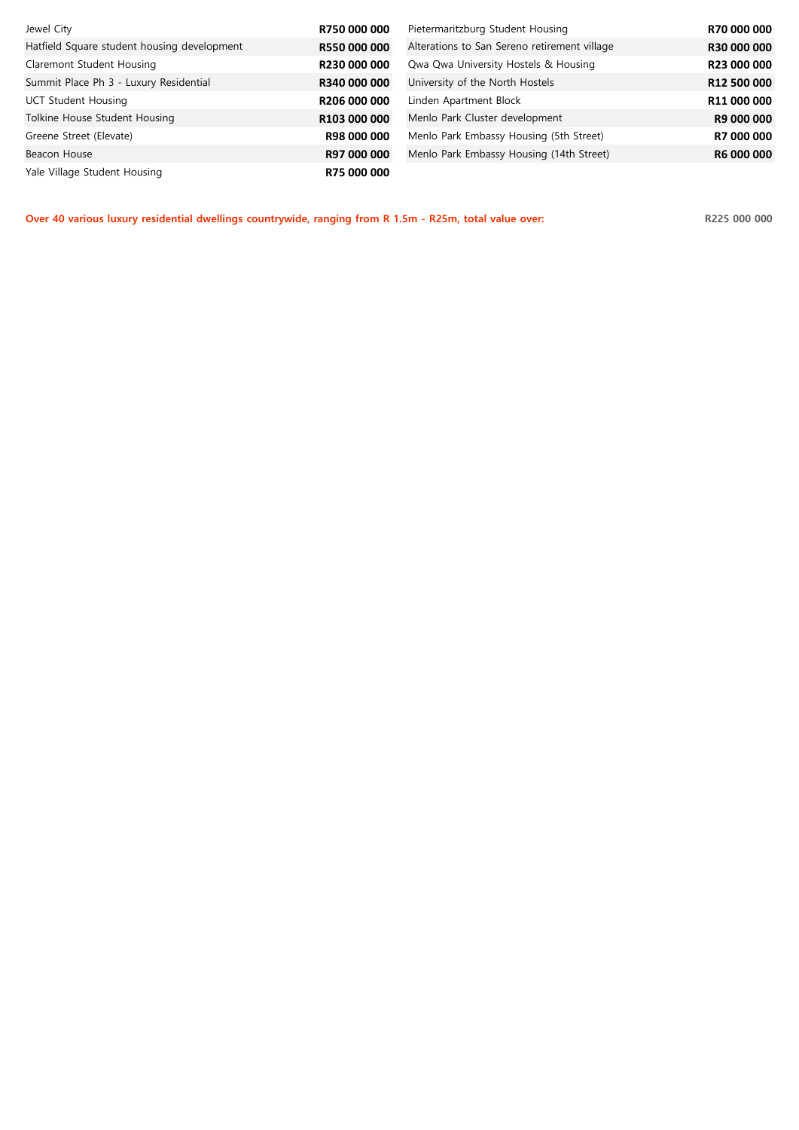| Jewel City                                  | R750 000 000 | Pietermaritzburg Student Housing             | R70 000 000 |
|---------------------------------------------|--------------|----------------------------------------------|-------------|
| Hatfield Square student housing development | R550 000 000 | Alterations to San Sereno retirement village | R30 000 000 |
| Claremont Student Housing                   | R230 000 000 | Qwa Qwa University Hostels & Housing         | R23 000 000 |
| Summit Place Ph 3 - Luxury Residential      | R340 000 000 | University of the North Hostels              | R12 500 000 |
| UCT Student Housing                         | R206 000 000 | Linden Apartment Block                       | R11 000 000 |
| Tolkine House Student Housing               | R103 000 000 | Menlo Park Cluster development               | R9 000 000  |
| Greene Street (Elevate)                     | R98 000 000  | Menlo Park Embassy Housing (5th Street)      | R7 000 000  |
| Beacon House                                | R97 000 000  | Menlo Park Embassy Housing (14th Street)     | R6 000 000  |
| Yale Village Student Housing                | R75 000 000  |                                              |             |

**Over 40 various luxury residential dwellings countrywide, ranging from R 1.5m - R25m, total value over: R225 000 000**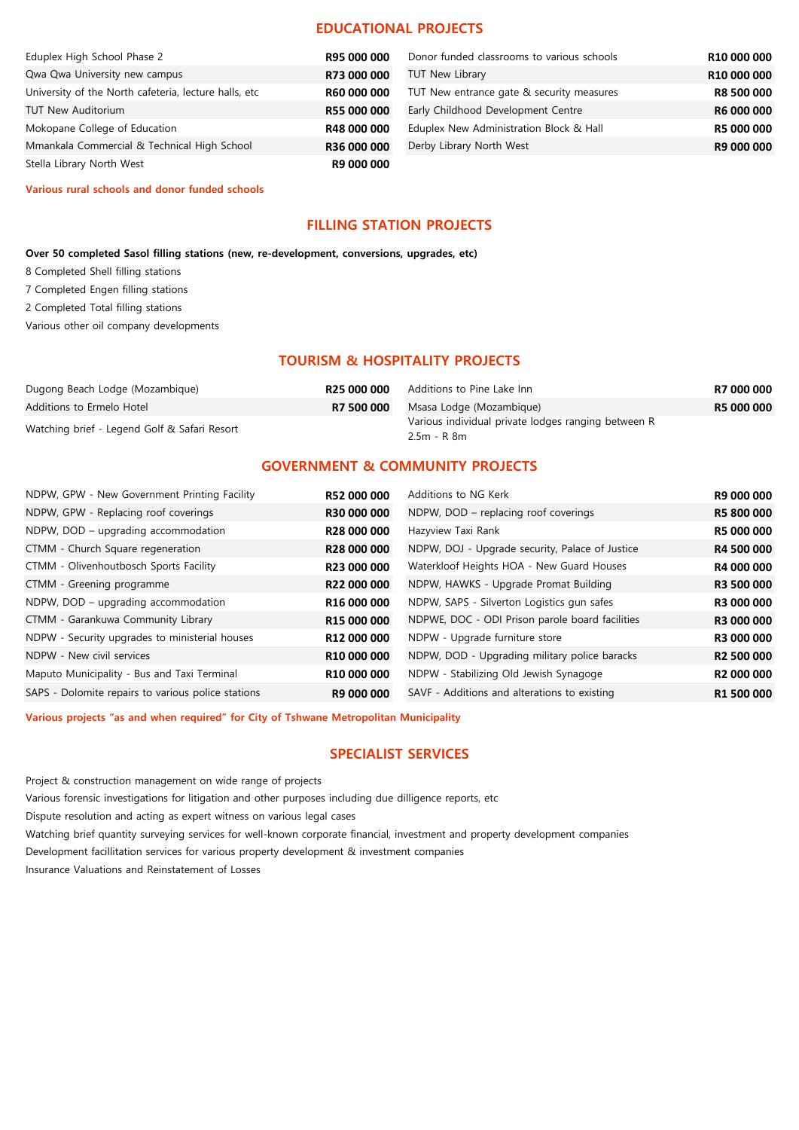#### **EDUCATIONAL PROJECTS**

| Eduplex High School Phase 2                           | R95 000 000 | Donor funded classrooms to various schools | R10 000 000       |
|-------------------------------------------------------|-------------|--------------------------------------------|-------------------|
| Qwa Qwa University new campus                         | R73 000 000 | <b>TUT New Library</b>                     | R10 000 000       |
| University of the North cafeteria, lecture halls, etc | R60 000 000 | TUT New entrance gate & security measures  | <b>R8 500 000</b> |
| <b>TUT New Auditorium</b>                             | R55 000 000 | Early Childhood Development Centre         | <b>R6 000 000</b> |
| Mokopane College of Education                         | R48 000 000 | Eduplex New Administration Block & Hall    | <b>R5 000 000</b> |
| Mmankala Commercial & Technical High School           | R36 000 000 | Derby Library North West                   | R9 000 000        |
| Stella Library North West                             | R9 000 000  |                                            |                   |

**Various rural schools and donor funded schools**

#### **FILLING STATION PROJECTS**

**Over 50 completed Sasol filling stations (new, re-development, conversions, upgrades, etc)**

- 8 Completed Shell filling stations
- 7 Completed Engen filling stations
- 2 Completed Total filling stations
- Various other oil company developments

#### **TOURISM & HOSPITALITY PROJECTS**

| R25 000 000 | Additions to Pine Lake Inn | R7 000 000                                                                                     |
|-------------|----------------------------|------------------------------------------------------------------------------------------------|
| R7 500 000  |                            | <b>R5 000 000</b>                                                                              |
|             |                            |                                                                                                |
|             |                            | Msasa Lodge (Mozambigue)<br>Various individual private lodges ranging between R<br>2.5m - R 8m |

#### **GOVERNMENT & COMMUNITY PROJECTS**

| NDPW, GPW - New Government Printing Facility       | R52 000 000             | Additions to NG Kerk                            | R9 000 000             |
|----------------------------------------------------|-------------------------|-------------------------------------------------|------------------------|
| NDPW, GPW - Replacing roof coverings               | <b>R30 000 000</b>      | NDPW, DOD - replacing roof coverings            | <b>R5 800 000</b>      |
| NDPW, DOD – upgrading accommodation                | R28 000 000             | Hazyview Taxi Rank                              | R5 000 000             |
| CTMM - Church Square regeneration                  | <b>R28 000 000</b>      | NDPW, DOJ - Upgrade security, Palace of Justice | R4 500 000             |
| CTMM - Olivenhoutbosch Sports Facility             | R23 000 000             | Waterkloof Heights HOA - New Guard Houses       | R4 000 000             |
| CTMM - Greening programme                          | R22 000 000             | NDPW, HAWKS - Upgrade Promat Building           | R3 500 000             |
| NDPW, DOD – upgrading accommodation                | R16 000 000             | NDPW, SAPS - Silverton Logistics gun safes      | R3 000 000             |
| CTMM - Garankuwa Community Library                 | R15 000 000             | NDPWE, DOC - ODI Prison parole board facilities | R3 000 000             |
| NDPW - Security upgrades to ministerial houses     | R12 000 000             | NDPW - Upgrade furniture store                  | R3 000 000             |
| NDPW - New civil services                          | R10 000 000             | NDPW, DOD - Upgrading military police baracks   | R <sub>2</sub> 500 000 |
| Maputo Municipality - Bus and Taxi Terminal        | R <sub>10</sub> 000 000 | NDPW - Stabilizing Old Jewish Synagoge          | R <sub>2</sub> 000 000 |
| SAPS - Dolomite repairs to various police stations | R9 000 000              | SAVF - Additions and alterations to existing    | R1 500 000             |

**Various projects "as and when required" for City of Tshwane Metropolitan Municipality**

#### **SPECIALIST SERVICES**

Project & construction management on wide range of projects

Various forensic investigations for litigation and other purposes including due dilligence reports, etc

Dispute resolution and acting as expert witness on various legal cases

Watching brief quantity surveying services for well-known corporate financial, investment and property development companies

Development facillitation services for various property development & investment companies

Insurance Valuations and Reinstatement of Losses